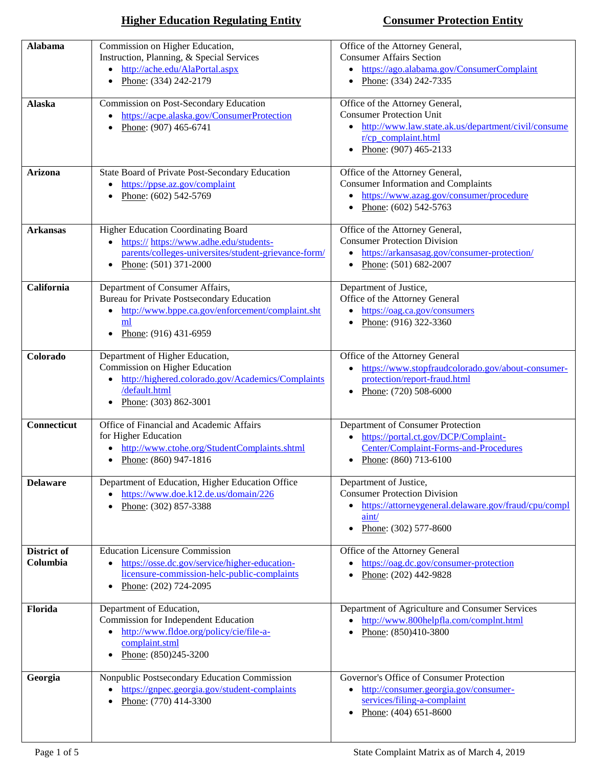| <b>Alabama</b>          | Commission on Higher Education,<br>Instruction, Planning, & Special Services<br>http://ache.edu/AlaPortal.aspx<br>Phone: (334) 242-2179                                                    | Office of the Attorney General,<br><b>Consumer Affairs Section</b><br>https://ago.alabama.gov/ConsumerComplaint<br>$\bullet$<br>Phone: (334) 242-7335<br>$\bullet$                     |
|-------------------------|--------------------------------------------------------------------------------------------------------------------------------------------------------------------------------------------|----------------------------------------------------------------------------------------------------------------------------------------------------------------------------------------|
| <b>Alaska</b>           | Commission on Post-Secondary Education<br>https://acpe.alaska.gov/ConsumerProtection<br>Phone: (907) 465-6741                                                                              | Office of the Attorney General,<br><b>Consumer Protection Unit</b><br>http://www.law.state.ak.us/department/civil/consume<br>r/cp complaint.html<br>Phone: (907) 465-2133<br>$\bullet$ |
| Arizona                 | State Board of Private Post-Secondary Education<br>https://ppse.az.gov/complaint<br>Phone: (602) 542-5769                                                                                  | Office of the Attorney General,<br><b>Consumer Information and Complaints</b><br>https://www.azag.gov/consumer/procedure<br>Phone: (602) 542-5763                                      |
| <b>Arkansas</b>         | Higher Education Coordinating Board<br>https:// https://www.adhe.edu/students-<br>parents/colleges-universites/student-grievance-form/<br>Phone: (501) 371-2000                            | Office of the Attorney General,<br><b>Consumer Protection Division</b><br>https://arkansasag.gov/consumer-protection/<br>$\bullet$<br>Phone: (501) 682-2007                            |
| California              | Department of Consumer Affairs,<br><b>Bureau for Private Postsecondary Education</b><br>http://www.bppe.ca.gov/enforcement/complaint.sht<br>$\bullet$<br>ml<br>Phone: (916) 431-6959       | Department of Justice,<br>Office of the Attorney General<br>• https://oag.ca.gov/consumers<br>• Phone: $(916)$ 322-3360                                                                |
| Colorado                | Department of Higher Education,<br>Commission on Higher Education<br>http://highered.colorado.gov/Academics/Complaints<br>$\bullet$<br>/default.html<br>Phone: (303) 862-3001<br>$\bullet$ | Office of the Attorney General<br>https://www.stopfraudcolorado.gov/about-consumer-<br>$\bullet$<br>protection/report-fraud.html<br>Phone: $(720)$ 508-6000<br>$\bullet$               |
| Connecticut             | Office of Financial and Academic Affairs<br>for Higher Education<br>http://www.ctohe.org/StudentComplaints.shtml<br>Phone: (860) 947-1816<br>$\bullet$                                     | Department of Consumer Protection<br>https://portal.ct.gov/DCP/Complaint-<br>$\bullet$<br>Center/Complaint-Forms-and-Procedures<br>• Phone: $(860)$ 713-6100                           |
| <b>Delaware</b>         | Department of Education, Higher Education Office<br>https://www.doe.k12.de.us/domain/226<br>Phone: (302) 857-3388                                                                          | Department of Justice,<br><b>Consumer Protection Division</b><br>https://attorneygeneral.delaware.gov/fraud/cpu/compl<br>$\text{aint}/\text{}$<br>Phone: (302) 577-8600<br>$\bullet$   |
| District of<br>Columbia | <b>Education Licensure Commission</b><br>https://osse.dc.gov/service/higher-education-<br>licensure-commission-helc-public-complaints<br>Phone: (202) 724-2095                             | Office of the Attorney General<br>https://oag.dc.gov/consumer-protection<br>$\bullet$<br>Phone: (202) 442-9828                                                                         |
| Florida                 | Department of Education,<br>Commission for Independent Education<br>http://www.fldoe.org/policy/cie/file-a-<br>complaint.stml<br>Phone: (850)245-3200                                      | Department of Agriculture and Consumer Services<br>http://www.800helpfla.com/complnt.html<br>$\bullet$<br>Phone: (850)410-3800                                                         |
| Georgia                 | Nonpublic Postsecondary Education Commission<br>https://gnpec.georgia.gov/student-complaints<br>Phone: (770) 414-3300                                                                      | Governor's Office of Consumer Protection<br>http://consumer.georgia.gov/consumer-<br>services/filing-a-complaint<br>Phone: (404) 651-8600                                              |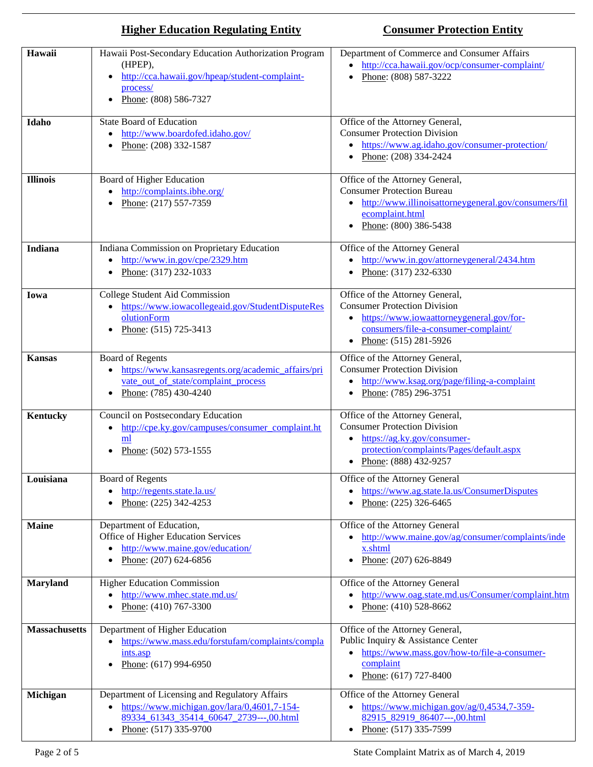|                      | <b>Higher Education Regulating Entity</b>                                                                                                                                             | <b>Consumer Protection Entity</b>                                                                                                                                                                  |
|----------------------|---------------------------------------------------------------------------------------------------------------------------------------------------------------------------------------|----------------------------------------------------------------------------------------------------------------------------------------------------------------------------------------------------|
| Hawaii               | Hawaii Post-Secondary Education Authorization Program<br>(HPEP),<br>http://cca.hawaii.gov/hpeap/student-complaint-<br>process/<br>Phone: (808) 586-7327                               | Department of Commerce and Consumer Affairs<br>http://cca.hawaii.gov/ocp/consumer-complaint/<br>Phone: (808) 587-3222                                                                              |
| Idaho                | <b>State Board of Education</b><br>http://www.boardofed.idaho.gov/<br>$\bullet$<br>Phone: (208) 332-1587                                                                              | Office of the Attorney General,<br><b>Consumer Protection Division</b><br>https://www.ag.idaho.gov/consumer-protection/<br>Phone: $(208)$ 334-2424<br>٠                                            |
| <b>Illinois</b>      | Board of Higher Education<br>http://complaints.ibhe.org/<br>$\bullet$<br>Phone: (217) 557-7359                                                                                        | Office of the Attorney General,<br><b>Consumer Protection Bureau</b><br>http://www.illinoisattorneygeneral.gov/consumers/fil<br>٠<br>ecomplaint.html<br>Phone: (800) 386-5438<br>$\bullet$         |
| Indiana              | Indiana Commission on Proprietary Education<br>http://www.in.gov/cpe/2329.htm<br>$\bullet$<br>Phone: (317) 232-1033<br>$\bullet$                                                      | Office of the Attorney General<br>http://www.in.gov/attorneygeneral/2434.htm<br>٠<br>Phone: (317) 232-6330<br>$\bullet$                                                                            |
| Iowa                 | College Student Aid Commission<br>https://www.iowacollegeaid.gov/StudentDisputeRes<br>$\bullet$<br>olutionForm<br>Phone: (515) 725-3413<br>$\bullet$                                  | Office of the Attorney General,<br><b>Consumer Protection Division</b><br>https://www.iowaattorneygeneral.gov/for-<br>consumers/file-a-consumer-complaint/<br>Phone: $(515)$ 281-5926<br>$\bullet$ |
| <b>Kansas</b>        | <b>Board of Regents</b><br>https://www.kansasregents.org/academic_affairs/pri<br>$\bullet$<br>vate_out_of_state/complaint_process<br>Phone: $(785)$ 430-4240                          | Office of the Attorney General,<br><b>Consumer Protection Division</b><br>http://www.ksag.org/page/filing-a-complaint<br>٠<br>Phone: (785) 296-3751<br>$\bullet$                                   |
| <b>Kentucky</b>      | Council on Postsecondary Education<br>http://cpe.ky.gov/campuses/consumer_complaint.ht<br>$\bullet$<br>ml<br>Phone: $(502)$ 573-1555                                                  | Office of the Attorney General,<br><b>Consumer Protection Division</b><br>https://ag.ky.gov/consumer-<br>$\bullet$<br>protection/complaints/Pages/default.aspx<br>Phone: $(888)$ 432-9257          |
| Louisiana            | <b>Board of Regents</b><br>http://regents.state.la.us/<br>Phone: (225) 342-4253                                                                                                       | Office of the Attorney General<br>https://www.ag.state.la.us/ConsumerDisputes<br>٠<br>Phone: (225) 326-6465                                                                                        |
| <b>Maine</b>         | Department of Education,<br>Office of Higher Education Services<br>http://www.maine.gov/education/<br>Phone: (207) 624-6856                                                           | Office of the Attorney General<br>http://www.maine.gov/ag/consumer/complaints/inde<br>$\bullet$<br>x.shtml<br>Phone: (207) 626-8849<br>$\bullet$                                                   |
| <b>Maryland</b>      | <b>Higher Education Commission</b><br>http://www.mhec.state.md.us/<br>Phone: (410) 767-3300                                                                                           | Office of the Attorney General<br>http://www.oag.state.md.us/Consumer/complaint.htm<br>$\bullet$<br>Phone: (410) 528-8662                                                                          |
| <b>Massachusetts</b> | Department of Higher Education<br>https://www.mass.edu/forstufam/complaints/compla<br>ints.asp<br>Phone: (617) 994-6950                                                               | Office of the Attorney General,<br>Public Inquiry & Assistance Center<br>https://www.mass.gov/how-to/file-a-consumer-<br>complaint<br>Phone: (617) 727-8400<br>$\bullet$                           |
| Michigan             | Department of Licensing and Regulatory Affairs<br>https://www.michigan.gov/lara/0,4601,7-154-<br>٠<br>89334 61343 35414 60647 2739---,00.html<br>Phone: $(517)$ 335-9700<br>$\bullet$ | Office of the Attorney General<br>https://www.michigan.gov/ag/0,4534,7-359-<br>$\bullet$<br>82915 82919 86407---,00.html<br>Phone: (517) 335-7599<br>$\bullet$                                     |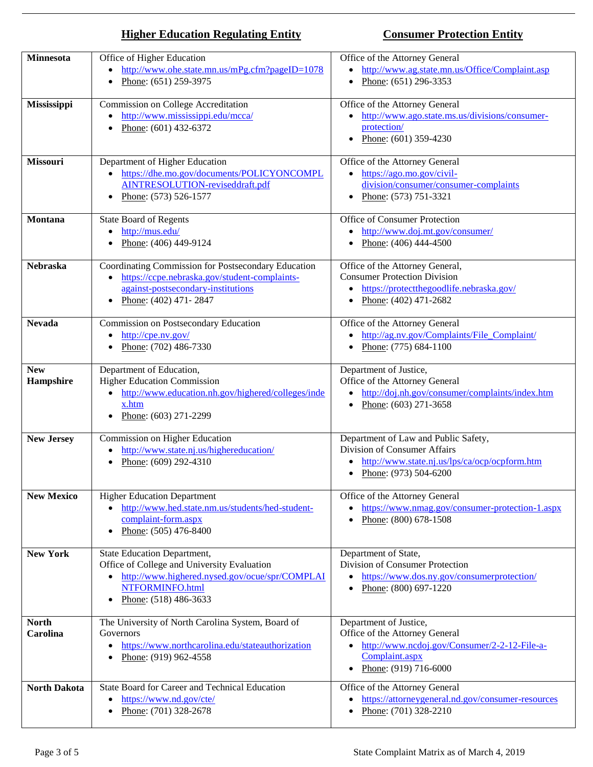| <b>Minnesota</b>         | Office of Higher Education<br>http://www.ohe.state.mn.us/mPg.cfm?pageID=1078<br>$\bullet$                                                                                                    | Office of the Attorney General<br>• http://www.ag.state.mn.us/Office/Complaint.asp                                                                                 |
|--------------------------|----------------------------------------------------------------------------------------------------------------------------------------------------------------------------------------------|--------------------------------------------------------------------------------------------------------------------------------------------------------------------|
|                          | Phone: (651) 259-3975<br>$\bullet$                                                                                                                                                           | Phone: $(651)$ 296-3353<br>$\bullet$                                                                                                                               |
| Mississippi              | Commission on College Accreditation<br>http://www.mississippi.edu/mcca/<br>$\bullet$<br>Phone: $(601)$ 432-6372<br>$\bullet$                                                                 | Office of the Attorney General<br>http://www.ago.state.ms.us/divisions/consumer-<br>$\bullet$<br>protection/<br>Phone: $(601)$ 359-4230<br>$\bullet$               |
| <b>Missouri</b>          | Department of Higher Education<br>https://dhe.mo.gov/documents/POLICYONCOMPL<br>$\bullet$<br>AINTRESOLUTION-reviseddraft.pdf<br>Phone: (573) 526-1577                                        | Office of the Attorney General<br>$\bullet$ https://ago.mo.gov/civil-<br>division/consumer/consumer-complaints<br>Phone: (573) 751-3321<br>$\bullet$               |
| Montana                  | <b>State Board of Regents</b><br>http://mus.edu/<br>Phone: (406) 449-9124                                                                                                                    | Office of Consumer Protection<br>http://www.doj.mt.gov/consumer/<br>٠<br>Phone: (406) 444-4500<br>٠                                                                |
| <b>Nebraska</b>          | Coordinating Commission for Postsecondary Education<br>https://ccpe.nebraska.gov/student-complaints-<br>$\bullet$<br>against-postsecondary-institutions<br>Phone: (402) 471-2847             | Office of the Attorney General,<br><b>Consumer Protection Division</b><br>https://protectthegoodlife.nebraska.gov/<br>٠<br>Phone: $(402)$ 471-2682<br>٠            |
| <b>Nevada</b>            | Commission on Postsecondary Education<br>http://cpe.nv.gov/<br>Phone: (702) 486-7330                                                                                                         | Office of the Attorney General<br>http://ag.nv.gov/Complaints/File Complaint/<br>٠<br>Phone: (775) 684-1100<br>٠                                                   |
| <b>New</b><br>Hampshire  | Department of Education,<br><b>Higher Education Commission</b><br>http://www.education.nh.gov/highered/colleges/inde<br>x.htm<br>Phone: (603) 271-2299                                       | Department of Justice,<br>Office of the Attorney General<br>http://doj.nh.gov/consumer/complaints/index.htm<br>Phone: $(603)$ 271-3658<br>$\bullet$                |
| <b>New Jersey</b>        | Commission on Higher Education<br>http://www.state.nj.us/highereducation/<br>Phone: (609) 292-4310                                                                                           | Department of Law and Public Safety,<br>Division of Consumer Affairs<br>http://www.state.nj.us/lps/ca/ocp/ocpform.htm<br>Phone: $(973)$ 504-6200<br>٠              |
| <b>New Mexico</b>        | <b>Higher Education Department</b><br>http://www.hed.state.nm.us/students/hed-student-<br>complaint-form.aspx<br>Phone: (505) 476-8400                                                       | Office of the Attorney General<br>https://www.nmag.gov/consumer-protection-1.aspx<br>$\bullet$<br>Phone: (800) 678-1508<br>$\bullet$                               |
| <b>New York</b>          | <b>State Education Department,</b><br>Office of College and University Evaluation<br>http://www.highered.nysed.gov/ocue/spr/COMPLAI<br>$\bullet$<br>NTFORMINFO.html<br>Phone: (518) 486-3633 | Department of State,<br>Division of Consumer Protection<br>https://www.dos.ny.gov/consumerprotection/<br>$\bullet$<br>Phone: (800) 697-1220<br>$\bullet$           |
| <b>North</b><br>Carolina | The University of North Carolina System, Board of<br>Governors<br>https://www.northcarolina.edu/stateauthorization<br>$\bullet$<br>Phone: (919) 962-4558                                     | Department of Justice,<br>Office of the Attorney General<br>$\bullet$ http://www.ncdoj.gov/Consumer/2-2-12-File-a-<br>Complaint.aspx<br>Phone: (919) 716-6000<br>٠ |
| <b>North Dakota</b>      | State Board for Career and Technical Education<br>https://www.nd.gov/cte/<br>Phone: (701) 328-2678                                                                                           | Office of the Attorney General<br>https://attorneygeneral.nd.gov/consumer-resources<br>Phone: (701) 328-2210                                                       |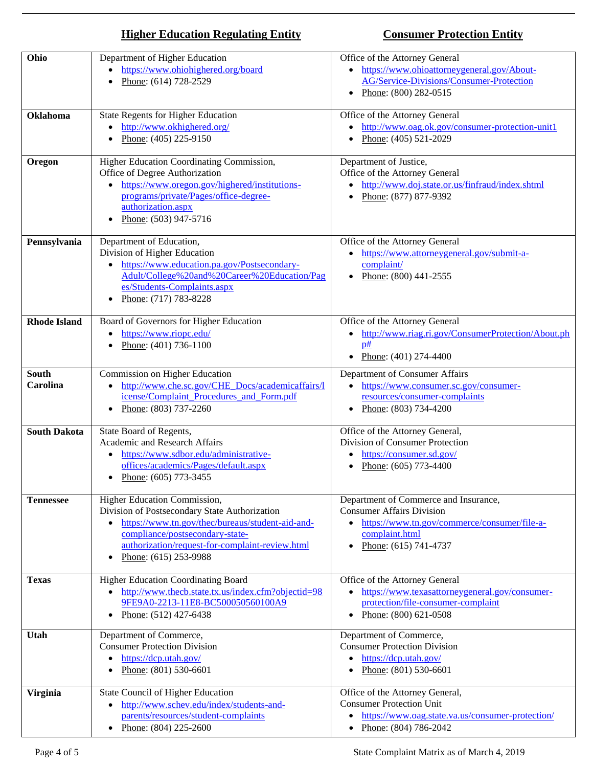| Ohio                     | Department of Higher Education<br>https://www.ohiohighered.org/board<br>Phone: (614) 728-2529                                                                                                                                                    | Office of the Attorney General<br>https://www.ohioattorneygeneral.gov/About-<br>$\bullet$<br>AG/Service-Divisions/Consumer-Protection<br>Phone: (800) 282-0515<br>٠                            |
|--------------------------|--------------------------------------------------------------------------------------------------------------------------------------------------------------------------------------------------------------------------------------------------|------------------------------------------------------------------------------------------------------------------------------------------------------------------------------------------------|
| Oklahoma                 | <b>State Regents for Higher Education</b><br>http://www.okhighered.org/<br>Phone: (405) 225-9150                                                                                                                                                 | Office of the Attorney General<br>http://www.oag.ok.gov/consumer-protection-unit1<br>$\bullet$<br>Phone: (405) 521-2029<br>$\bullet$                                                           |
| Oregon                   | Higher Education Coordinating Commission,<br>Office of Degree Authorization<br>https://www.oregon.gov/highered/institutions-<br>programs/private/Pages/office-degree-<br>authorization.aspx<br>Phone: (503) 947-5716                             | Department of Justice,<br>Office of the Attorney General<br>http://www.doj.state.or.us/finfraud/index.shtml<br>Phone: (877) 877-9392                                                           |
| Pennsylvania             | Department of Education,<br>Division of Higher Education<br>https://www.education.pa.gov/Postsecondary-<br>$\bullet$<br>Adult/College%20and%20Career%20Education/Pag<br>es/Students-Complaints.aspx<br>Phone: (717) 783-8228                     | Office of the Attorney General<br>https://www.attorneygeneral.gov/submit-a-<br>complaint/<br>Phone: $(800)$ 441-2555                                                                           |
| <b>Rhode Island</b>      | Board of Governors for Higher Education<br>https://www.riopc.edu/<br>$\bullet$<br>Phone: (401) 736-1100<br>$\bullet$                                                                                                                             | Office of the Attorney General<br>http://www.riag.ri.gov/ConsumerProtection/About.ph<br>٠<br>p#<br>Phone: $(401)$ 274-4400<br>$\bullet$                                                        |
| <b>South</b><br>Carolina | Commission on Higher Education<br>http://www.che.sc.gov/CHE_Docs/academicaffairs/l<br>$\bullet$<br>icense/Complaint Procedures and Form.pdf<br>Phone: (803) 737-2260<br>٠                                                                        | Department of Consumer Affairs<br>https://www.consumer.sc.gov/consumer-<br>resources/consumer-complaints<br>Phone: (803) 734-4200<br>$\bullet$                                                 |
| <b>South Dakota</b>      | State Board of Regents,<br>Academic and Research Affairs<br>https://www.sdbor.edu/administrative-<br>٠<br>offices/academics/Pages/default.aspx<br>• Phone: $(605)$ 773-3455                                                                      | Office of the Attorney General,<br>Division of Consumer Protection<br>https://consumer.sd.gov/<br>Phone: $(605)$ 773-4400<br>$\bullet$                                                         |
| <b>Tennessee</b>         | Higher Education Commission,<br>Division of Postsecondary State Authorization<br>https://www.tn.gov/thec/bureaus/student-aid-and-<br>compliance/postsecondary-state-<br>authorization/request-for-complaint-review.html<br>Phone: (615) 253-9988 | Department of Commerce and Insurance,<br><b>Consumer Affairs Division</b><br>https://www.tn.gov/commerce/consumer/file-a-<br>$\bullet$<br>complaint.html<br>Phone: (615) 741-4737<br>$\bullet$ |
| <b>Texas</b>             | Higher Education Coordinating Board<br>http://www.thecb.state.tx.us/index.cfm?objectid=98<br>9FE9A0-2213-11E8-BC500050560100A9<br>Phone: (512) 427-6438                                                                                          | Office of the Attorney General<br>https://www.texasattorneygeneral.gov/consumer-<br>protection/file-consumer-complaint<br>Phone: (800) 621-0508<br>$\bullet$                                   |
| Utah                     | Department of Commerce,<br><b>Consumer Protection Division</b><br>https://dcp.utah.gov/<br>٠<br>Phone: $(801)$ 530-6601<br>$\bullet$                                                                                                             | Department of Commerce,<br><b>Consumer Protection Division</b><br>https://dcp.utah.gov/<br>$\bullet$<br>Phone: $(801)$ 530-6601                                                                |
| <b>Virginia</b>          | State Council of Higher Education<br>http://www.schev.edu/index/students-and-<br>٠<br>parents/resources/student-complaints<br>Phone: $(804)$ 225-2600<br>$\bullet$                                                                               | Office of the Attorney General,<br><b>Consumer Protection Unit</b><br>https://www.oag.state.va.us/consumer-protection/<br>Phone: (804) 786-2042<br>$\bullet$                                   |